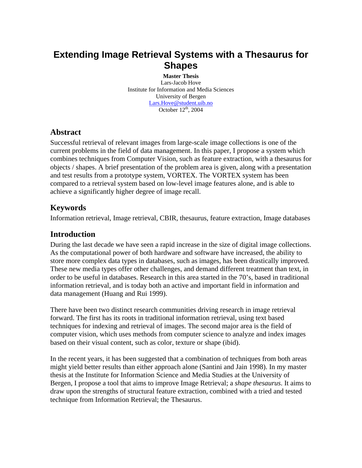# **Extending Image Retrieval Systems with a Thesaurus for Shapes**

**Master Thesis** Lars-Jacob Hove Institute for Information and Media Sciences University of Bergen [Lars.Hove@student.uib.no](mailto:Lars.Hove@student.uib.no) October  $12<sup>th</sup>$ , 2004

# **Abstract**

Successful retrieval of relevant images from large-scale image collections is one of the current problems in the field of data management. In this paper, I propose a system which combines techniques from Computer Vision, such as feature extraction, with a thesaurus for objects / shapes. A brief presentation of the problem area is given, along with a presentation and test results from a prototype system, VORTEX. The VORTEX system has been compared to a retrieval system based on low-level image features alone, and is able to achieve a significantly higher degree of image recall.

# **Keywords**

Information retrieval, Image retrieval, CBIR, thesaurus, feature extraction, Image databases

# **Introduction**

During the last decade we have seen a rapid increase in the size of digital image collections. As the computational power of both hardware and software have increased, the ability to store more complex data types in databases, such as images, has been drastically improved. These new media types offer other challenges, and demand different treatment than text, in order to be useful in databases. Research in this area started in the 70's, based in traditional information retrieval, and is today both an active and important field in information and data management (Huang and Rui 1999).

There have been two distinct research communities driving research in image retrieval forward. The first has its roots in traditional information retrieval, using text based techniques for indexing and retrieval of images. The second major area is the field of computer vision, which uses methods from computer science to analyze and index images based on their visual content, such as color, texture or shape (ibid).

In the recent years, it has been suggested that a combination of techniques from both areas might yield better results than either approach alone (Santini and Jain 1998). In my master thesis at the Institute for Information Science and Media Studies at the University of Bergen, I propose a tool that aims to improve Image Retrieval; a *shape thesaurus*. It aims to draw upon the strengths of structural feature extraction, combined with a tried and tested technique from Information Retrieval; the Thesaurus.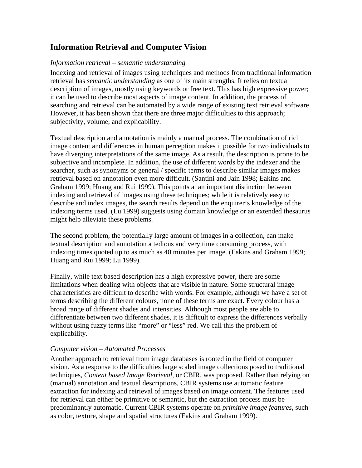# **Information Retrieval and Computer Vision**

### *Information retrieval – semantic understanding*

Indexing and retrieval of images using techniques and methods from traditional information retrieval has *semantic understanding* as one of its main strengths. It relies on textual description of images, mostly using keywords or free text. This has high expressive power; it can be used to describe most aspects of image content. In addition, the process of searching and retrieval can be automated by a wide range of existing text retrieval software. However, it has been shown that there are three major difficulties to this approach; subjectivity, volume, and explicability.

Textual description and annotation is mainly a manual process. The combination of rich image content and differences in human perception makes it possible for two individuals to have diverging interpretations of the same image. As a result, the description is prone to be subjective and incomplete. In addition, the use of different words by the indexer and the searcher, such as synonyms or general / specific terms to describe similar images makes retrieval based on annotation even more difficult. (Santini and Jain 1998; Eakins and Graham 1999; Huang and Rui 1999). This points at an important distinction between indexing and retrieval of images using these techniques; while it is relatively easy to describe and index images, the search results depend on the enquirer's knowledge of the indexing terms used. (Lu 1999) suggests using domain knowledge or an extended thesaurus might help alleviate these problems.

The second problem, the potentially large amount of images in a collection, can make textual description and annotation a tedious and very time consuming process, with indexing times quoted up to as much as 40 minutes per image. (Eakins and Graham 1999; Huang and Rui 1999; Lu 1999).

Finally, while text based description has a high expressive power, there are some limitations when dealing with objects that are visible in nature. Some structural image characteristics are difficult to describe with words. For example, although we have a set of terms describing the different colours, none of these terms are exact. Every colour has a broad range of different shades and intensities. Although most people are able to differentiate between two different shades, it is difficult to express the differences verbally without using fuzzy terms like "more" or "less" red. We call this the problem of explicability*.*

## *Computer vision – Automated Processes*

Another approach to retrieval from image databases is rooted in the field of computer vision. As a response to the difficulties large scaled image collections posed to traditional techniques, *Content based Image Retrieval*, or CBIR, was proposed. Rather than relying on (manual) annotation and textual descriptions, CBIR systems use automatic feature extraction for indexing and retrieval of images based on image content. The features used for retrieval can either be primitive or semantic, but the extraction process must be predominantly automatic. Current CBIR systems operate on *primitive image features*, such as color, texture, shape and spatial structures (Eakins and Graham 1999).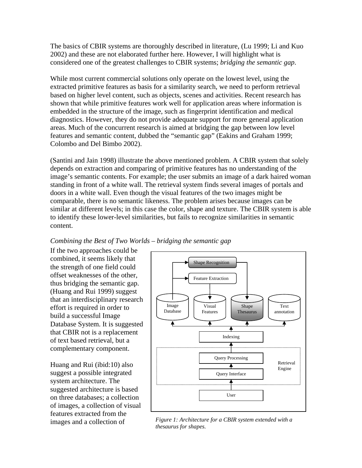The basics of CBIR systems are thoroughly described in literature, (Lu 1999; Li and Kuo 2002) and these are not elaborated further here. However, I will highlight what is considered one of the greatest challenges to CBIR systems; *bridging the semantic gap*.

While most current commercial solutions only operate on the lowest level, using the extracted primitive features as basis for a similarity search, we need to perform retrieval based on higher level content, such as objects, scenes and activities. Recent research has shown that while primitive features work well for application areas where information is embedded in the structure of the image, such as fingerprint identification and medical diagnostics. However, they do not provide adequate support for more general application areas. Much of the concurrent research is aimed at bridging the gap between low level features and semantic content, dubbed the "semantic gap" (Eakins and Graham 1999; Colombo and Del Bimbo 2002).

(Santini and Jain 1998) illustrate the above mentioned problem. A CBIR system that solely depends on extraction and comparing of primitive features has no understanding of the image's semantic contents. For example; the user submits an image of a dark haired woman standing in front of a white wall. The retrieval system finds several images of portals and doors in a white wall. Even though the visual features of the two images might be comparable, there is no semantic likeness. The problem arises because images can be similar at different levels; in this case the color, shape and texture. The CBIR system is able to identify these lower-level similarities, but fails to recognize similarities in semantic content.

## *Combining the Best of Two Worlds – bridging the semantic gap*

If the two approaches could be combined, it seems likely that the strength of one field could offset weaknesses of the other, thus bridging the semantic gap. (Huang and Rui 1999) suggest that an interdisciplinary research effort is required in order to build a successful Image Database System. It is suggested that CBIR not is a replacement of text based retrieval, but a complementary component.

Huang and Rui (ibid:10) also suggest a possible integrated system architecture. The suggested architecture is based on three databases; a collection of images, a collection of visual features extracted from the



images and a collection of *Figure 1: Architecture for a CBIR system extended with a thesaurus for shapes.*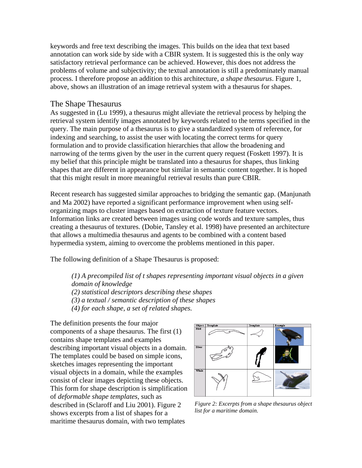keywords and free text describing the images. This builds on the idea that text based annotation can work side by side with a CBIR system. It is suggested this is the only way satisfactory retrieval performance can be achieved. However, this does not address the problems of volume and subjectivity; the textual annotation is still a predominately manual process. I therefore propose an addition to this architecture, *a shape thesaurus*. Figure 1, above, shows an illustration of an image retrieval system with a thesaurus for shapes.

## The Shape Thesaurus

As suggested in (Lu 1999), a thesaurus might alleviate the retrieval process by helping the retrieval system identify images annotated by keywords related to the terms specified in the query. The main purpose of a thesaurus is to give a standardized system of reference, for indexing and searching, to assist the user with locating the correct terms for query formulation and to provide classification hierarchies that allow the broadening and narrowing of the terms given by the user in the current query request (Foskett 1997). It is my belief that this principle might be translated into a thesaurus for shapes, thus linking shapes that are different in appearance but similar in semantic content together. It is hoped that this might result in more meaningful retrieval results than pure CBIR.

Recent research has suggested similar approaches to bridging the semantic gap. (Manjunath and Ma 2002) have reported a significant performance improvement when using selforganizing maps to cluster images based on extraction of texture feature vectors. Information links are created between images using code words and texture samples, thus creating a thesaurus of textures. (Dobie, Tansley et al. 1998) have presented an architecture that allows a multimedia thesaurus and agents to be combined with a content based hypermedia system, aiming to overcome the problems mentioned in this paper.

The following definition of a Shape Thesaurus is proposed:

*(1) A precompiled list of t shapes representing important visual objects in a given domain of knowledge* 

*(2) statistical descriptors describing these shapes* 

*(3) a textual / semantic description of these shapes* 

*(4) for each shape, a set of related shapes.*

The definition presents the four major components of a shape thesaurus. The first (1) contains shape templates and examples describing important visual objects in a domain. The templates could be based on simple icons, sketches images representing the important visual objects in a domain, while the examples consist of clear images depicting these objects. This form for shape description is simplification of *deformable shape templates,* such as described in (Sclaroff and Liu 2001). Figure 2 shows excerpts from a list of shapes for a maritime thesaurus domain, with two templates



*Figure 2: Excerpts from a shape thesaurus object list for a maritime domain.*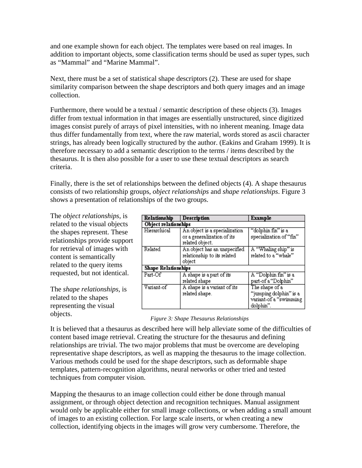and one example shown for each object. The templates were based on real images. In addition to important objects, some classification terms should be used as super types, such as "Mammal" and "Marine Mammal".

Next, there must be a set of statistical shape descriptors (2). These are used for shape similarity comparison between the shape descriptors and both query images and an image collection.

Furthermore, there would be a textual / semantic description of these objects (3). Images differ from textual information in that images are essentially unstructured, since digitized images consist purely of arrays of pixel intensities, with no inherent meaning. Image data thus differ fundamentally from text, where the raw material, words stored as ascii character strings, has already been logically structured by the author. (Eakins and Graham 1999). It is therefore necessary to add a semantic description to the terms / items described by the thesaurus. It is then also possible for a user to use these textual descriptors as search criteria.

Finally, there is the set of relationships between the defined objects (4). A shape thesaurus consists of two relationship groups, *object relationships* and *shape relationships*. Figure 3 shows a presentation of relationships of the two groups.

The *object relationships*, is related to the visual objects the shapes represent. These relationships provide support for retrieval of images with content is semantically related to the query items requested, but not identical.

The *shape relationships,* is related to the shapes representing the visual objects.

| Relationship               | <b>Description</b>                                                             | <b>Example</b>                                                                  |
|----------------------------|--------------------------------------------------------------------------------|---------------------------------------------------------------------------------|
| Object relationships       |                                                                                |                                                                                 |
| Hierarchical               | An object is a specialization<br>or a generalization of its<br>related object. | "dolphin fin" is a<br>specialization of "fin"                                   |
| Related                    | An object has an unspecified<br>relationship to its related<br>object          | A "Whaling ship" is<br>related to a "whale"                                     |
| <b>Shape Relationships</b> |                                                                                |                                                                                 |
| Part-Of                    | A shape is a part of its<br>related shape                                      | A "Dolphin fin" is a<br>part-of a "Dolphin"                                     |
| Variant-of                 | A shape is a variant of its<br>related shape.                                  | The shape of a<br>"jumping dolphin" is a<br>variant-of a "swimming<br>dolphin". |

#### *Figure 3: Shape Thesaurus Relationships*

It is believed that a thesaurus as described here will help alleviate some of the difficulties of content based image retrieval. Creating the structure for the thesaurus and defining relationships are trivial. The two major problems that must be overcome are developing representative shape descriptors, as well as mapping the thesaurus to the image collection. Various methods could be used for the shape descriptors, such as deformable shape templates, pattern-recognition algorithms, neural networks or other tried and tested techniques from computer vision.

Mapping the thesaurus to an image collection could either be done through manual assignment, or through object detection and recognition techniques. Manual assignment would only be applicable either for small image collections, or when adding a small amount of images to an existing collection. For large scale inserts, or when creating a new collection, identifying objects in the images will grow very cumbersome. Therefore, the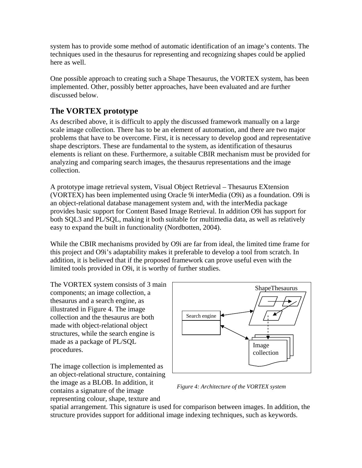system has to provide some method of automatic identification of an image's contents. The techniques used in the thesaurus for representing and recognizing shapes could be applied here as well.

One possible approach to creating such a Shape Thesaurus, the VORTEX system, has been implemented. Other, possibly better approaches, have been evaluated and are further discussed below.

# **The VORTEX prototype**

As described above, it is difficult to apply the discussed framework manually on a large scale image collection. There has to be an element of automation, and there are two major problems that have to be overcome. First, it is necessary to develop good and representative shape descriptors. These are fundamental to the system, as identification of thesaurus elements is reliant on these. Furthermore, a suitable CBIR mechanism must be provided for analyzing and comparing search images, the thesaurus representations and the image collection.

A prototype image retrieval system, Visual Object Retrieval – Thesaurus EXtension (VORTEX) has been implemented using Oracle 9i interMedia (O9i) as a foundation. O9i is an object-relational database management system and, with the interMedia package provides basic support for Content Based Image Retrieval. In addition O9i has support for both SQL3 and PL/SQL, making it both suitable for multimedia data, as well as relatively easy to expand the built in functionality (Nordbotten, 2004).

While the CBIR mechanisms provided by O9i are far from ideal, the limited time frame for this project and O9i's adaptability makes it preferable to develop a tool from scratch. In addition, it is believed that if the proposed framework can prove useful even with the limited tools provided in O9i, it is worthy of further studies.

The VORTEX system consists of 3 main components; an image collection, a thesaurus and a search engine, as illustrated in Figure 4. The image collection and the thesaurus are both made with object-relational object structures, while the search engine is made as a package of PL/SQL procedures.

The image collection is implemented as an object-relational structure, containing the image as a BLOB. In addition, it contains a signature of the image representing colour, shape, texture and



*Figure 4: Architecture of the VORTEX system*

spatial arrangement. This signature is used for comparison between images. In addition, the structure provides support for additional image indexing techniques, such as keywords.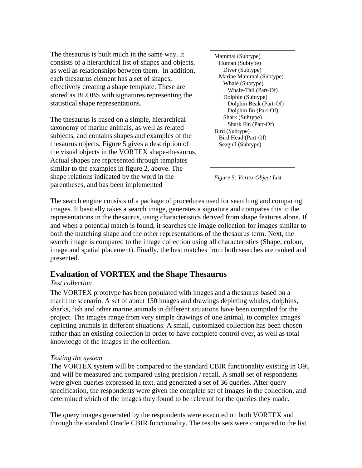The thesaurus is built much in the same way. It consists of a hierarchical list of shapes and objects, as well as relationships between them. In addition, each thesaurus element has a set of shapes, effectively creating a shape template. These are stored as BLOBS with signatures representing the statistical shape representations.

The thesaurus is based on a simple, hierarchical taxonomy of marine animals, as well as related subjects, and contains shapes and examples of the thesaurus objects. Figure 5 gives a description of the visual objects in the VORTEX shape-thesaurus. Actual shapes are represented through templates similar to the examples in figure 2, above. The shape relations indicated by the word in the parentheses, and has been implemented

Mammal (Subtype) Human (Subtype) Diver (Subtype) Marine Mammal (Subtype) Whale (Subtype) Whale-Tail (Part-Of) Dolphin (Subtype) Dolphin Beak (Part-Of) Dolphin fin (Part-Of) Shark (Subtype) Shark Fin (Part-Of) Bird (Subtype) Bird Head (Part-Of) Seagull (Subtype)

*Figure 5: Vortex Object List* 

The search engine consists of a package of procedures used for searching and comparing images. It basically takes a search image, generates a signature and compares this to the representations in the thesaurus, using characteristics derived from shape features alone. If and when a potential match is found, it searches the image collection for images similar to both the matching shape and the other representations of the thesaurus term. Next, the search image is compared to the image collection using all characteristics (Shape, colour, image and spatial placement). Finally, the best matches from both searches are ranked and presented.

# **Evaluation of VORTEX and the Shape Thesaurus**

## *Test collection*

The VORTEX prototype has been populated with images and a thesaurus based on a maritime scenario. A set of about 150 images and drawings depicting whales, dolphins, sharks, fish and other marine animals in different situations have been compiled for the project. The images range from very simple drawings of one animal, to complex images depicting animals in different situations. A small, customized collection has been chosen rather than an existing collection in order to have complete control over, as well as total knowledge of the images in the collection.

#### *Testing the system*

The VORTEX system will be compared to the standard CBIR functionality existing in O9i, and will be measured and compared using precision / recall. A small set of respondents were given queries expressed in text, and generated a set of 36 queries. After query specification, the respondents were given the complete set of images in the collection, and determined which of the images they found to be relevant for the queries they made.

The query images generated by the respondents were executed on both VORTEX and through the standard Oracle CBIR functionality. The results sets were compared to the list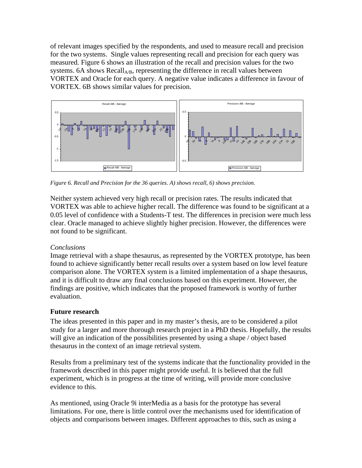of relevant images specified by the respondents, and used to measure recall and precision for the two systems. Single values representing recall and precision for each query was measured. Figure 6 shows an illustration of the recall and precision values for the two systems. 6A shows  $Recall<sub>AB</sub>$ , representing the difference in recall values between VORTEX and Oracle for each query. A negative value indicates a difference in favour of VORTEX. 6B shows similar values for precision.



*Figure 6. Recall and Precision for the 36 queries. A) shows recall, 6) shows precision.* 

Neither system achieved very high recall or precision rates. The results indicated that VORTEX was able to achieve higher recall. The difference was found to be significant at a 0.05 level of confidence with a Students-T test. The differences in precision were much less clear. Oracle managed to achieve slightly higher precision. However, the differences were not found to be significant.

## *Conclusions*

Image retrieval with a shape thesaurus, as represented by the VORTEX prototype, has been found to achieve significantly better recall results over a system based on low level feature comparison alone. The VORTEX system is a limited implementation of a shape thesaurus, and it is difficult to draw any final conclusions based on this experiment. However, the findings are positive, which indicates that the proposed framework is worthy of further evaluation.

## **Future research**

The ideas presented in this paper and in my master's thesis, are to be considered a pilot study for a larger and more thorough research project in a PhD thesis. Hopefully, the results will give an indication of the possibilities presented by using a shape / object based thesaurus in the context of an image retrieval system.

Results from a preliminary test of the systems indicate that the functionality provided in the framework described in this paper might provide useful. It is believed that the full experiment, which is in progress at the time of writing, will provide more conclusive evidence to this.

As mentioned, using Oracle 9i interMedia as a basis for the prototype has several limitations. For one, there is little control over the mechanisms used for identification of objects and comparisons between images. Different approaches to this, such as using a